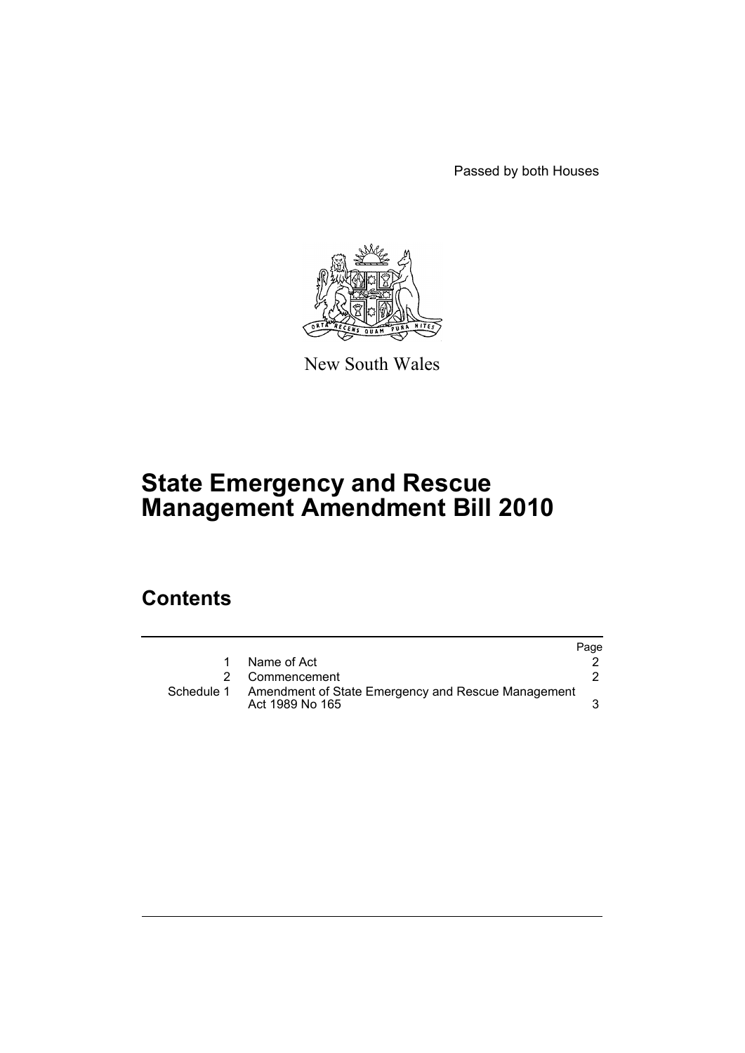Passed by both Houses



New South Wales

# **State Emergency and Rescue Management Amendment Bill 2010**

# **Contents**

|            |                                                                       | Page |
|------------|-----------------------------------------------------------------------|------|
|            | Name of Act                                                           |      |
|            | 2 Commencement                                                        |      |
| Schedule 1 | Amendment of State Emergency and Rescue Management<br>Act 1989 No 165 |      |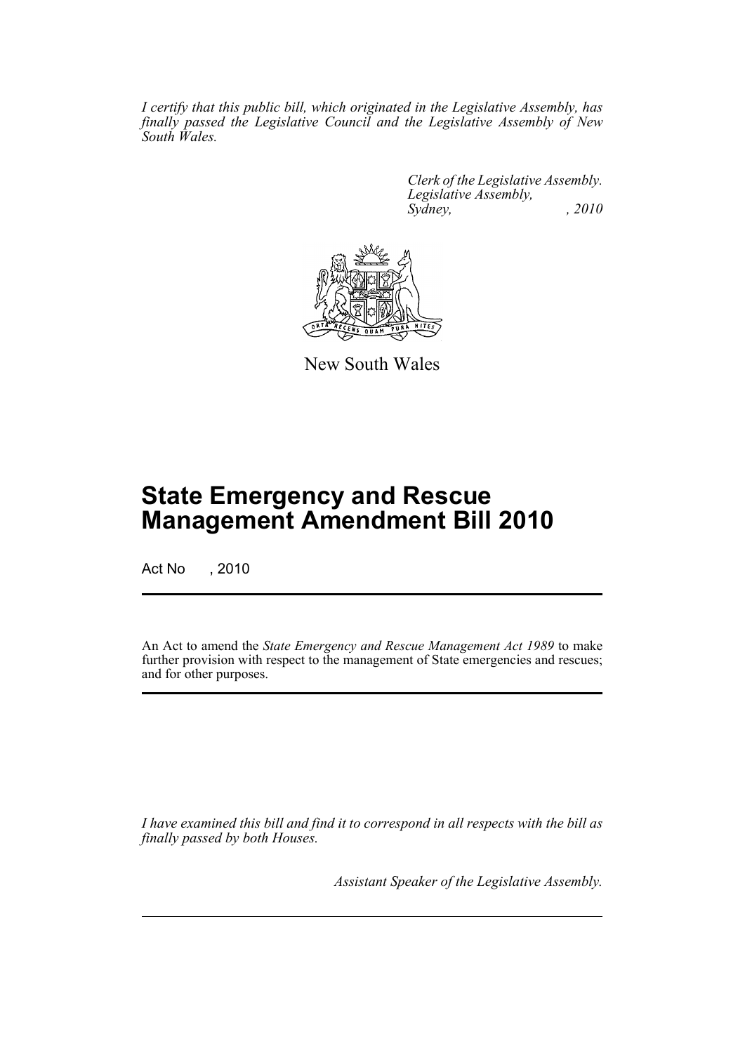*I certify that this public bill, which originated in the Legislative Assembly, has finally passed the Legislative Council and the Legislative Assembly of New South Wales.*

> *Clerk of the Legislative Assembly. Legislative Assembly, Sydney, , 2010*



New South Wales

# **State Emergency and Rescue Management Amendment Bill 2010**

Act No , 2010

An Act to amend the *State Emergency and Rescue Management Act 1989* to make further provision with respect to the management of State emergencies and rescues; and for other purposes.

*I have examined this bill and find it to correspond in all respects with the bill as finally passed by both Houses.*

*Assistant Speaker of the Legislative Assembly.*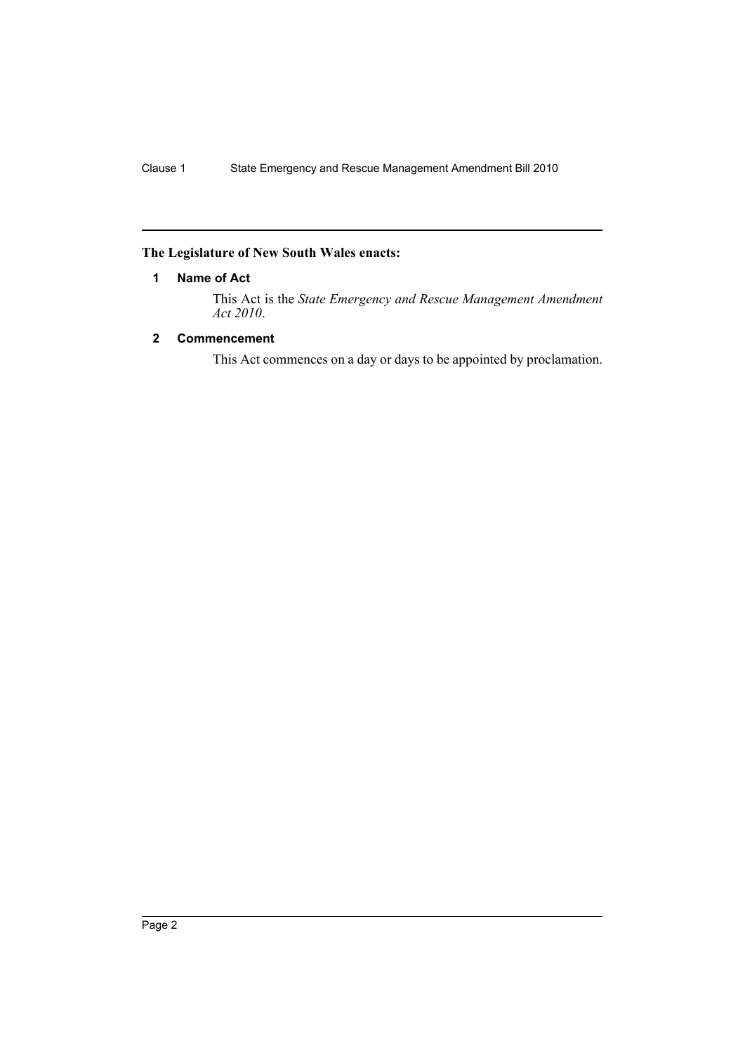## <span id="page-2-0"></span>**The Legislature of New South Wales enacts:**

## **1 Name of Act**

This Act is the *State Emergency and Rescue Management Amendment Act 2010*.

## <span id="page-2-1"></span>**2 Commencement**

This Act commences on a day or days to be appointed by proclamation.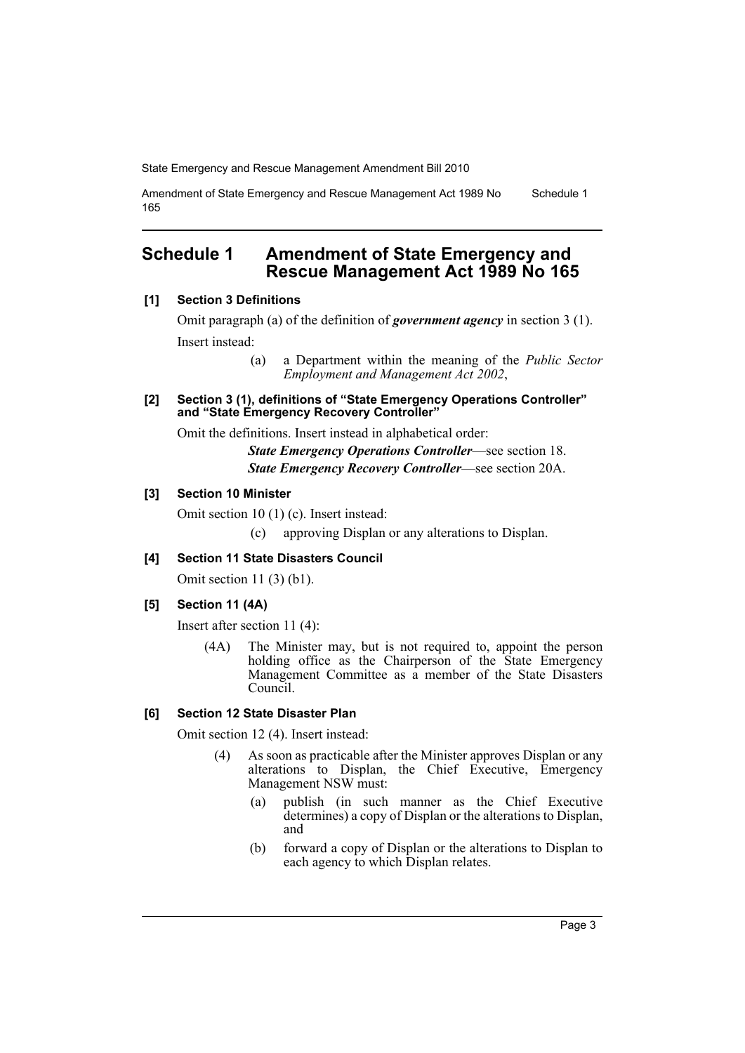Amendment of State Emergency and Rescue Management Act 1989 No 165 Schedule 1

## <span id="page-3-0"></span>**Schedule 1 Amendment of State Emergency and Rescue Management Act 1989 No 165**

#### **[1] Section 3 Definitions**

Omit paragraph (a) of the definition of *government agency* in section 3 (1). Insert instead:

> (a) a Department within the meaning of the *Public Sector Employment and Management Act 2002*,

**[2] Section 3 (1), definitions of "State Emergency Operations Controller" and "State Emergency Recovery Controller"**

Omit the definitions. Insert instead in alphabetical order:

*State Emergency Operations Controller*—see section 18. *State Emergency Recovery Controller*—see section 20A.

#### **[3] Section 10 Minister**

Omit section 10 (1) (c). Insert instead:

(c) approving Displan or any alterations to Displan.

## **[4] Section 11 State Disasters Council**

Omit section 11 (3) (b1).

## **[5] Section 11 (4A)**

Insert after section 11 (4):

(4A) The Minister may, but is not required to, appoint the person holding office as the Chairperson of the State Emergency Management Committee as a member of the State Disasters Council.

## **[6] Section 12 State Disaster Plan**

Omit section 12 (4). Insert instead:

- (4) As soon as practicable after the Minister approves Displan or any alterations to Displan, the Chief Executive, Emergency Management NSW must:
	- (a) publish (in such manner as the Chief Executive determines) a copy of Displan or the alterations to Displan, and
	- (b) forward a copy of Displan or the alterations to Displan to each agency to which Displan relates.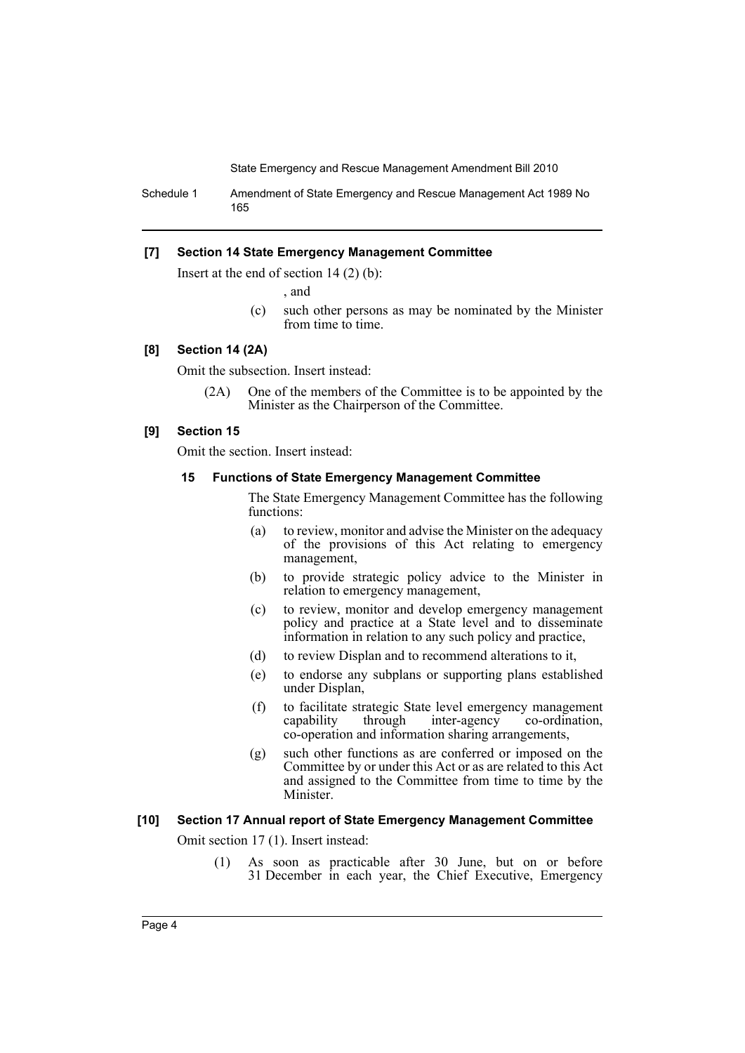Schedule 1 Amendment of State Emergency and Rescue Management Act 1989 No 165

#### **[7] Section 14 State Emergency Management Committee**

Insert at the end of section 14 (2) (b):

, and

(c) such other persons as may be nominated by the Minister from time to time.

## **[8] Section 14 (2A)**

Omit the subsection. Insert instead:

(2A) One of the members of the Committee is to be appointed by the Minister as the Chairperson of the Committee.

#### **[9] Section 15**

Omit the section. Insert instead:

#### **15 Functions of State Emergency Management Committee**

The State Emergency Management Committee has the following functions:

- (a) to review, monitor and advise the Minister on the adequacy of the provisions of this Act relating to emergency management,
- (b) to provide strategic policy advice to the Minister in relation to emergency management,
- (c) to review, monitor and develop emergency management policy and practice at a State level and to disseminate information in relation to any such policy and practice,
- (d) to review Displan and to recommend alterations to it,
- (e) to endorse any subplans or supporting plans established under Displan,
- (f) to facilitate strategic State level emergency management inter-agency co-operation and information sharing arrangements,
- (g) such other functions as are conferred or imposed on the Committee by or under this Act or as are related to this Act and assigned to the Committee from time to time by the Minister.

#### **[10] Section 17 Annual report of State Emergency Management Committee**

Omit section 17 (1). Insert instead:

(1) As soon as practicable after 30 June, but on or before 31 December in each year, the Chief Executive, Emergency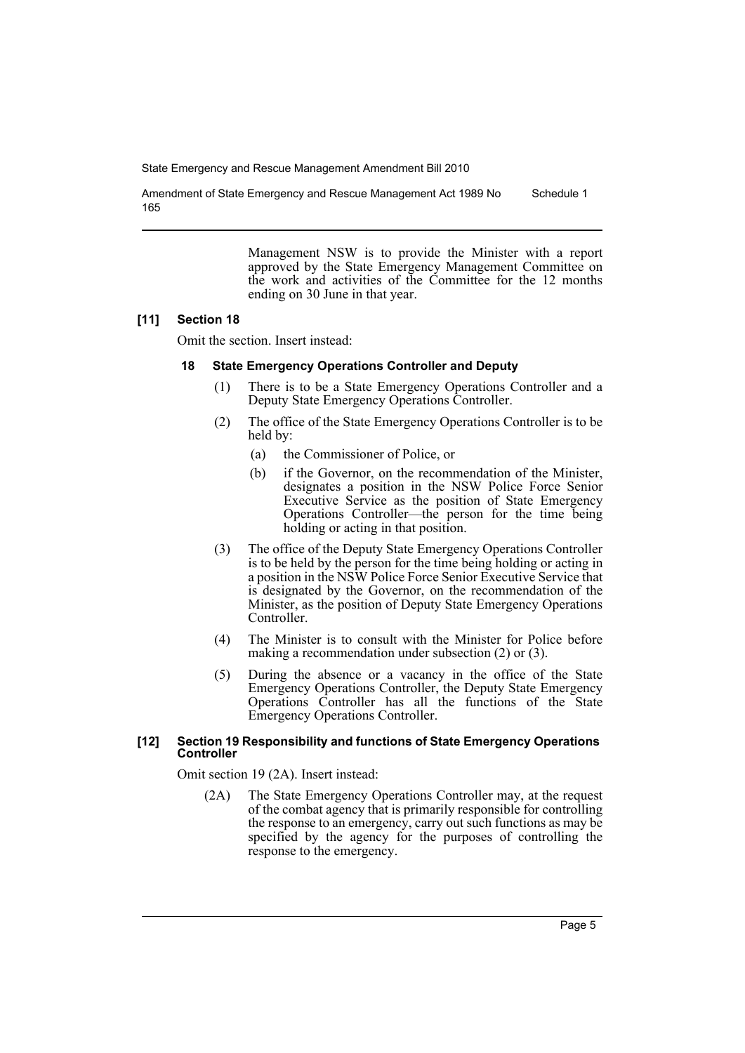Amendment of State Emergency and Rescue Management Act 1989 No 165 Schedule 1

> Management NSW is to provide the Minister with a report approved by the State Emergency Management Committee on the work and activities of the Committee for the 12 months ending on 30 June in that year.

#### **[11] Section 18**

Omit the section. Insert instead:

#### **18 State Emergency Operations Controller and Deputy**

- (1) There is to be a State Emergency Operations Controller and a Deputy State Emergency Operations Controller.
- (2) The office of the State Emergency Operations Controller is to be held by:
	- (a) the Commissioner of Police, or
	- (b) if the Governor, on the recommendation of the Minister, designates a position in the NSW Police Force Senior Executive Service as the position of State Emergency Operations Controller—the person for the time being holding or acting in that position.
- (3) The office of the Deputy State Emergency Operations Controller is to be held by the person for the time being holding or acting in a position in the NSW Police Force Senior Executive Service that is designated by the Governor, on the recommendation of the Minister, as the position of Deputy State Emergency Operations Controller.
- (4) The Minister is to consult with the Minister for Police before making a recommendation under subsection (2) or (3).
- (5) During the absence or a vacancy in the office of the State Emergency Operations Controller, the Deputy State Emergency Operations Controller has all the functions of the State Emergency Operations Controller.

#### **[12] Section 19 Responsibility and functions of State Emergency Operations Controller**

Omit section 19 (2A). Insert instead:

(2A) The State Emergency Operations Controller may, at the request of the combat agency that is primarily responsible for controlling the response to an emergency, carry out such functions as may be specified by the agency for the purposes of controlling the response to the emergency.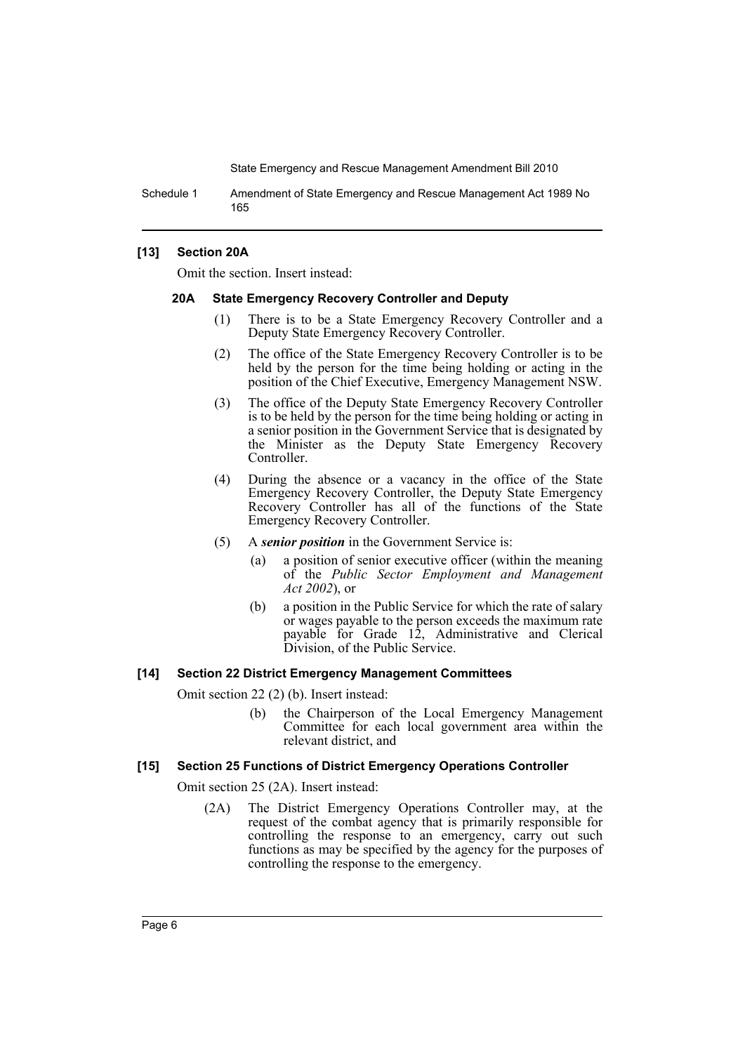Schedule 1 Amendment of State Emergency and Rescue Management Act 1989 No 165

#### **[13] Section 20A**

Omit the section. Insert instead:

#### **20A State Emergency Recovery Controller and Deputy**

- (1) There is to be a State Emergency Recovery Controller and a Deputy State Emergency Recovery Controller.
- (2) The office of the State Emergency Recovery Controller is to be held by the person for the time being holding or acting in the position of the Chief Executive, Emergency Management NSW.
- (3) The office of the Deputy State Emergency Recovery Controller is to be held by the person for the time being holding or acting in a senior position in the Government Service that is designated by the Minister as the Deputy State Emergency Recovery Controller.
- (4) During the absence or a vacancy in the office of the State Emergency Recovery Controller, the Deputy State Emergency Recovery Controller has all of the functions of the State Emergency Recovery Controller.
- (5) A *senior position* in the Government Service is:
	- (a) a position of senior executive officer (within the meaning of the *Public Sector Employment and Management Act 2002*), or
	- (b) a position in the Public Service for which the rate of salary or wages payable to the person exceeds the maximum rate payable for Grade 12, Administrative and Clerical Division, of the Public Service.

#### **[14] Section 22 District Emergency Management Committees**

Omit section 22 (2) (b). Insert instead:

(b) the Chairperson of the Local Emergency Management Committee for each local government area within the relevant district, and

#### **[15] Section 25 Functions of District Emergency Operations Controller**

Omit section 25 (2A). Insert instead:

(2A) The District Emergency Operations Controller may, at the request of the combat agency that is primarily responsible for controlling the response to an emergency, carry out such functions as may be specified by the agency for the purposes of controlling the response to the emergency.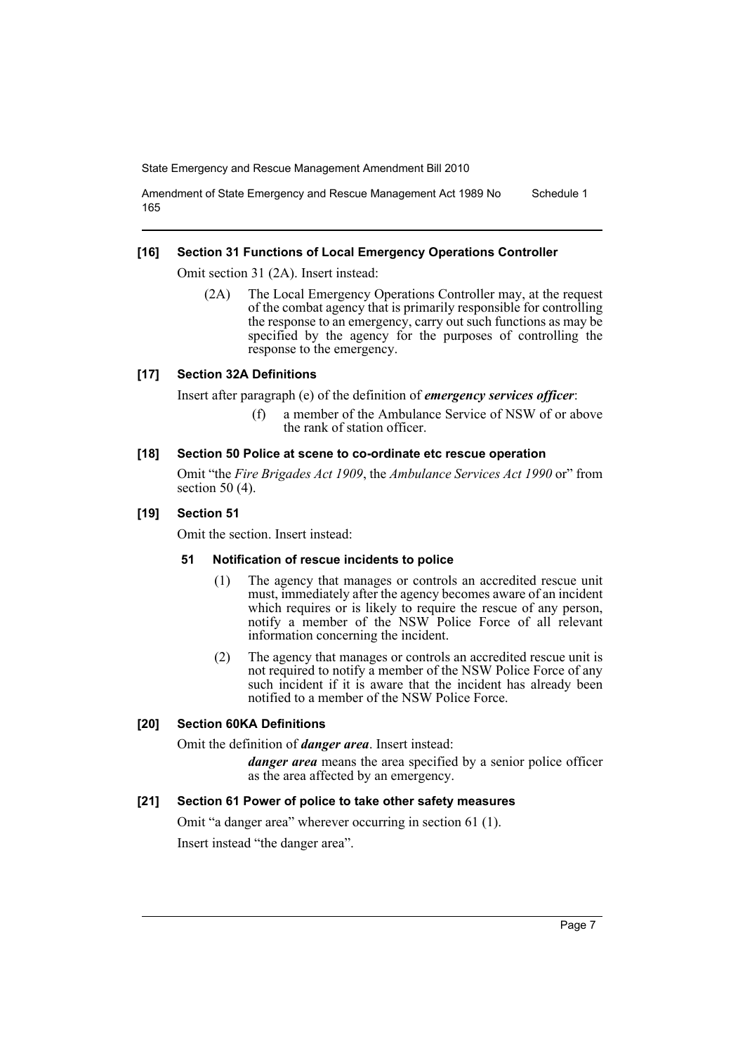Amendment of State Emergency and Rescue Management Act 1989 No 165 Schedule 1

#### **[16] Section 31 Functions of Local Emergency Operations Controller**

Omit section 31 (2A). Insert instead:

(2A) The Local Emergency Operations Controller may, at the request of the combat agency that is primarily responsible for controlling the response to an emergency, carry out such functions as may be specified by the agency for the purposes of controlling the response to the emergency.

### **[17] Section 32A Definitions**

Insert after paragraph (e) of the definition of *emergency services officer*:

(f) a member of the Ambulance Service of NSW of or above the rank of station officer.

#### **[18] Section 50 Police at scene to co-ordinate etc rescue operation**

Omit "the *Fire Brigades Act 1909*, the *Ambulance Services Act 1990* or" from section 50 (4).

#### **[19] Section 51**

Omit the section. Insert instead:

#### **51 Notification of rescue incidents to police**

- (1) The agency that manages or controls an accredited rescue unit must, immediately after the agency becomes aware of an incident which requires or is likely to require the rescue of any person, notify a member of the NSW Police Force of all relevant information concerning the incident.
- (2) The agency that manages or controls an accredited rescue unit is not required to notify a member of the NSW Police Force of any such incident if it is aware that the incident has already been notified to a member of the NSW Police Force.

## **[20] Section 60KA Definitions**

Omit the definition of *danger area*. Insert instead:

*danger area* means the area specified by a senior police officer as the area affected by an emergency.

## **[21] Section 61 Power of police to take other safety measures**

Omit "a danger area" wherever occurring in section 61 (1). Insert instead "the danger area".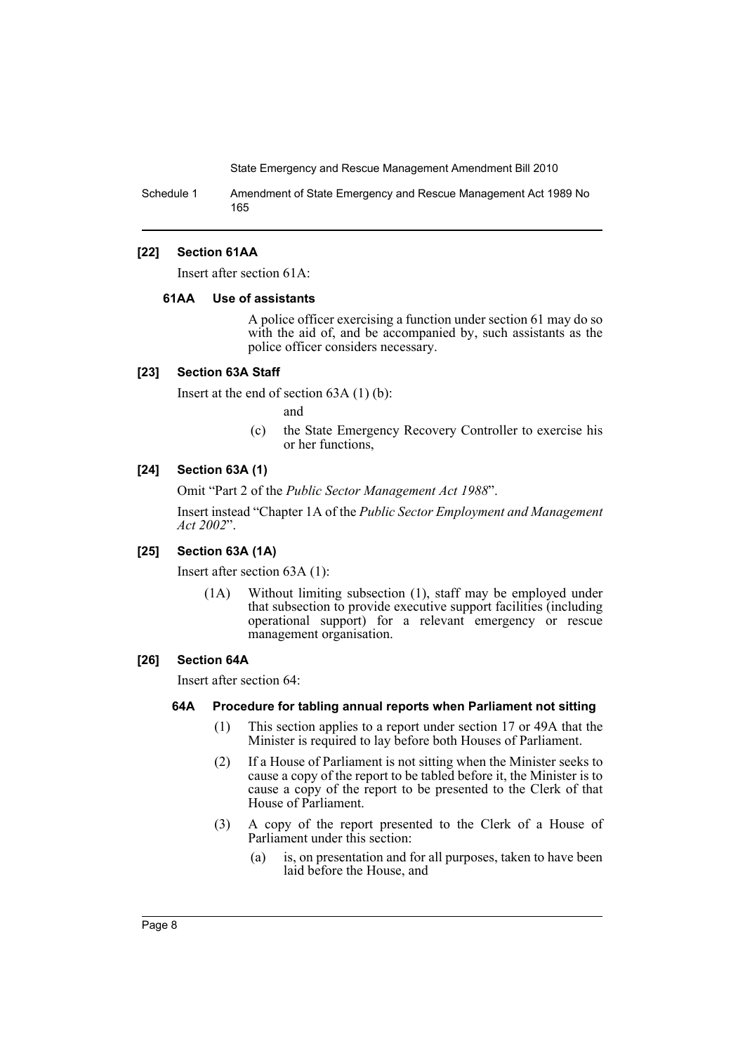Schedule 1 Amendment of State Emergency and Rescue Management Act 1989 No 165

#### **[22] Section 61AA**

Insert after section 61A:

#### **61AA Use of assistants**

A police officer exercising a function under section 61 may do so with the aid of, and be accompanied by, such assistants as the police officer considers necessary.

## **[23] Section 63A Staff**

Insert at the end of section 63A (1) (b):

and

(c) the State Emergency Recovery Controller to exercise his or her functions,

#### **[24] Section 63A (1)**

Omit "Part 2 of the *Public Sector Management Act 1988*".

Insert instead "Chapter 1A of the *Public Sector Employment and Management Act 2002*".

#### **[25] Section 63A (1A)**

Insert after section 63A (1):

(1A) Without limiting subsection (1), staff may be employed under that subsection to provide executive support facilities (including operational support) for a relevant emergency or rescue management organisation.

#### **[26] Section 64A**

Insert after section 64:

#### **64A Procedure for tabling annual reports when Parliament not sitting**

- (1) This section applies to a report under section 17 or 49A that the Minister is required to lay before both Houses of Parliament.
- (2) If a House of Parliament is not sitting when the Minister seeks to cause a copy of the report to be tabled before it, the Minister is to cause a copy of the report to be presented to the Clerk of that House of Parliament.
- (3) A copy of the report presented to the Clerk of a House of Parliament under this section:
	- (a) is, on presentation and for all purposes, taken to have been laid before the House, and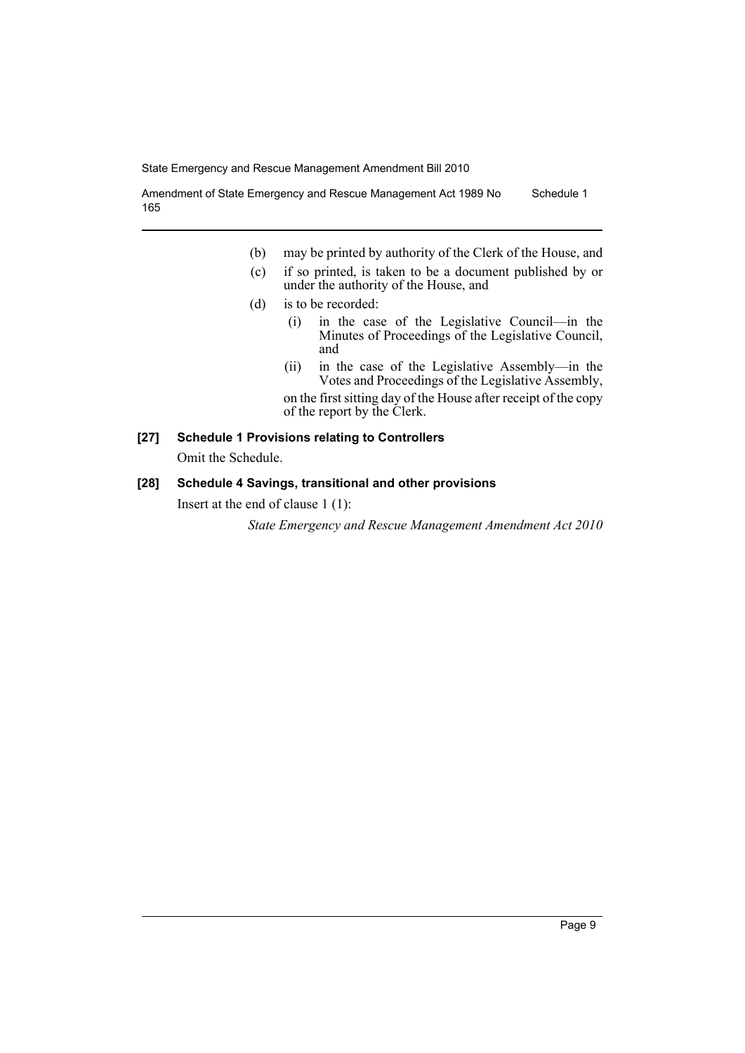Amendment of State Emergency and Rescue Management Act 1989 No 165 Schedule 1

- (b) may be printed by authority of the Clerk of the House, and
- (c) if so printed, is taken to be a document published by or under the authority of the House, and
- (d) is to be recorded:
	- (i) in the case of the Legislative Council—in the Minutes of Proceedings of the Legislative Council, and
	- (ii) in the case of the Legislative Assembly—in the Votes and Proceedings of the Legislative Assembly, on the first sitting day of the House after receipt of the copy of the report by the Clerk.

## **[27] Schedule 1 Provisions relating to Controllers**

Omit the Schedule.

## **[28] Schedule 4 Savings, transitional and other provisions**

Insert at the end of clause 1 (1):

*State Emergency and Rescue Management Amendment Act 2010*